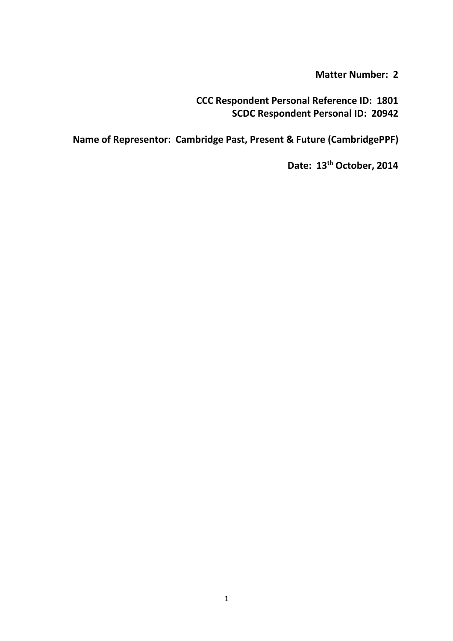# **Matter Number: 2**

**CCC Respondent Personal Reference ID: 1801 SCDC Respondent Personal ID: 20942** 

**Name of Representor: Cambridge Past, Present & Future (CambridgePPF)** 

**Date: 13th October, 2014**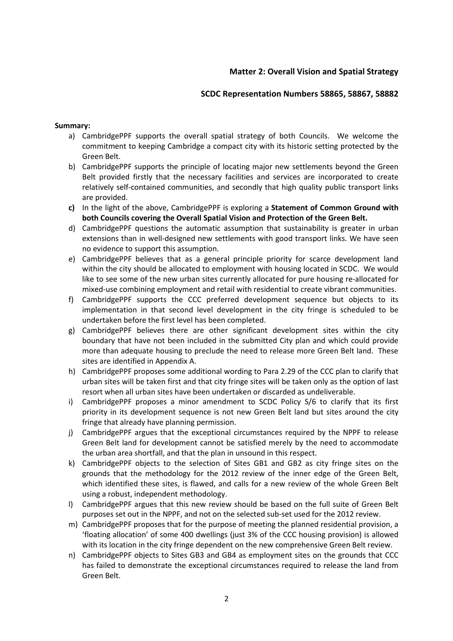# **Matter 2: Overall Vision and Spatial Strategy**

# **SCDC Representation Numbers 58865, 58867, 58882**

### **Summary:**

- a) CambridgePPF supports the overall spatial strategy of both Councils. We welcome the commitment to keeping Cambridge a compact city with its historic setting protected by the Green Belt.
- b) CambridgePPF supports the principle of locating major new settlements beyond the Green Belt provided firstly that the necessary facilities and services are incorporated to create relatively self-contained communities, and secondly that high quality public transport links are provided.
- **c)** In the light of the above, CambridgePPF is exploring a **Statement of Common Ground with both Councils covering the Overall Spatial Vision and Protection of the Green Belt.**
- d) CambridgePPF questions the automatic assumption that sustainability is greater in urban extensions than in well-designed new settlements with good transport links. We have seen no evidence to support this assumption.
- e) CambridgePPF believes that as a general principle priority for scarce development land within the city should be allocated to employment with housing located in SCDC. We would like to see some of the new urban sites currently allocated for pure housing re-allocated for mixed-use combining employment and retail with residential to create vibrant communities.
- f) CambridgePPF supports the CCC preferred development sequence but objects to its implementation in that second level development in the city fringe is scheduled to be undertaken before the first level has been completed.
- g) CambridgePPF believes there are other significant development sites within the city boundary that have not been included in the submitted City plan and which could provide more than adequate housing to preclude the need to release more Green Belt land. These sites are identified in Appendix A.
- h) CambridgePPF proposes some additional wording to Para 2.29 of the CCC plan to clarify that urban sites will be taken first and that city fringe sites will be taken only as the option of last resort when all urban sites have been undertaken or discarded as undeliverable.
- i) CambridgePPF proposes a minor amendment to SCDC Policy S/6 to clarify that its first priority in its development sequence is not new Green Belt land but sites around the city fringe that already have planning permission.
- j) CambridgePPF argues that the exceptional circumstances required by the NPPF to release Green Belt land for development cannot be satisfied merely by the need to accommodate the urban area shortfall, and that the plan in unsound in this respect.
- k) CambridgePPF objects to the selection of Sites GB1 and GB2 as city fringe sites on the grounds that the methodology for the 2012 review of the inner edge of the Green Belt, which identified these sites, is flawed, and calls for a new review of the whole Green Belt using a robust, independent methodology.
- l) CambridgePPF argues that this new review should be based on the full suite of Green Belt purposes set out in the NPPF, and not on the selected sub-set used for the 2012 review.
- m) CambridgePPF proposes that for the purpose of meeting the planned residential provision, a 'floating allocation' of some 400 dwellings (just 3% of the CCC housing provision) is allowed with its location in the city fringe dependent on the new comprehensive Green Belt review.
- n) CambridgePPF objects to Sites GB3 and GB4 as employment sites on the grounds that CCC has failed to demonstrate the exceptional circumstances required to release the land from Green Belt.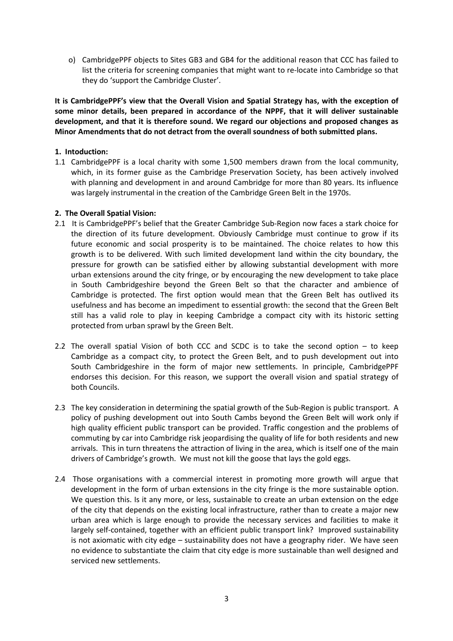o) CambridgePPF objects to Sites GB3 and GB4 for the additional reason that CCC has failed to list the criteria for screening companies that might want to re-locate into Cambridge so that they do 'support the Cambridge Cluster'.

**It is CambridgePPF's view that the Overall Vision and Spatial Strategy has, with the exception of some minor details, been prepared in accordance of the NPPF, that it will deliver sustainable development, and that it is therefore sound. We regard our objections and proposed changes as Minor Amendments that do not detract from the overall soundness of both submitted plans.** 

# **1. Intoduction:**

1.1 CambridgePPF is a local charity with some 1,500 members drawn from the local community, which, in its former guise as the Cambridge Preservation Society, has been actively involved with planning and development in and around Cambridge for more than 80 years. Its influence was largely instrumental in the creation of the Cambridge Green Belt in the 1970s.

# **2. The Overall Spatial Vision:**

- 2.1 It is CambridgePPF's belief that the Greater Cambridge Sub-Region now faces a stark choice for the direction of its future development. Obviously Cambridge must continue to grow if its future economic and social prosperity is to be maintained. The choice relates to how this growth is to be delivered. With such limited development land within the city boundary, the pressure for growth can be satisfied either by allowing substantial development with more urban extensions around the city fringe, or by encouraging the new development to take place in South Cambridgeshire beyond the Green Belt so that the character and ambience of Cambridge is protected. The first option would mean that the Green Belt has outlived its usefulness and has become an impediment to essential growth: the second that the Green Belt still has a valid role to play in keeping Cambridge a compact city with its historic setting protected from urban sprawl by the Green Belt.
- 2.2 The overall spatial Vision of both CCC and SCDC is to take the second option  $-$  to keep Cambridge as a compact city, to protect the Green Belt, and to push development out into South Cambridgeshire in the form of major new settlements. In principle, CambridgePPF endorses this decision. For this reason, we support the overall vision and spatial strategy of both Councils.
- 2.3 The key consideration in determining the spatial growth of the Sub-Region is public transport. A policy of pushing development out into South Cambs beyond the Green Belt will work only if high quality efficient public transport can be provided. Traffic congestion and the problems of commuting by car into Cambridge risk jeopardising the quality of life for both residents and new arrivals. This in turn threatens the attraction of living in the area, which is itself one of the main drivers of Cambridge's growth. We must not kill the goose that lays the gold eggs.
- 2.4 Those organisations with a commercial interest in promoting more growth will argue that development in the form of urban extensions in the city fringe is the more sustainable option. We question this. Is it any more, or less, sustainable to create an urban extension on the edge of the city that depends on the existing local infrastructure, rather than to create a major new urban area which is large enough to provide the necessary services and facilities to make it largely self-contained, together with an efficient public transport link? Improved sustainability is not axiomatic with city edge – sustainability does not have a geography rider. We have seen no evidence to substantiate the claim that city edge is more sustainable than well designed and serviced new settlements.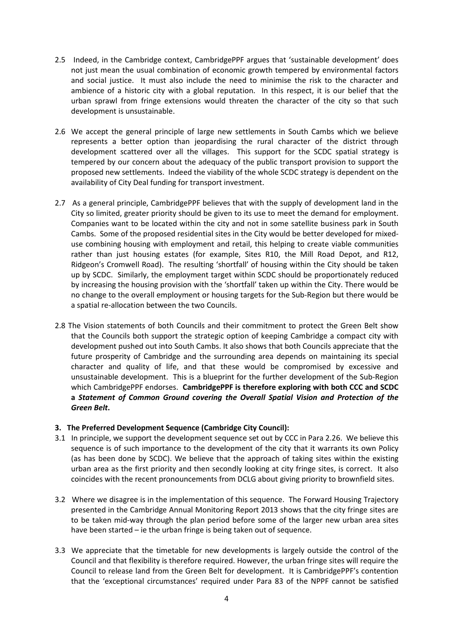- 2.5 Indeed, in the Cambridge context, CambridgePPF argues that 'sustainable development' does not just mean the usual combination of economic growth tempered by environmental factors and social justice. It must also include the need to minimise the risk to the character and ambience of a historic city with a global reputation. In this respect, it is our belief that the urban sprawl from fringe extensions would threaten the character of the city so that such development is unsustainable.
- 2.6 We accept the general principle of large new settlements in South Cambs which we believe represents a better option than jeopardising the rural character of the district through development scattered over all the villages. This support for the SCDC spatial strategy is tempered by our concern about the adequacy of the public transport provision to support the proposed new settlements. Indeed the viability of the whole SCDC strategy is dependent on the availability of City Deal funding for transport investment.
- 2.7 As a general principle, CambridgePPF believes that with the supply of development land in the City so limited, greater priority should be given to its use to meet the demand for employment. Companies want to be located within the city and not in some satellite business park in South Cambs. Some of the proposed residential sites in the City would be better developed for mixeduse combining housing with employment and retail, this helping to create viable communities rather than just housing estates (for example, Sites R10, the Mill Road Depot, and R12, Ridgeon's Cromwell Road). The resulting 'shortfall' of housing within the City should be taken up by SCDC. Similarly, the employment target within SCDC should be proportionately reduced by increasing the housing provision with the 'shortfall' taken up within the City. There would be no change to the overall employment or housing targets for the Sub-Region but there would be a spatial re-allocation between the two Councils.
- 2.8 The Vision statements of both Councils and their commitment to protect the Green Belt show that the Councils both support the strategic option of keeping Cambridge a compact city with development pushed out into South Cambs. It also shows that both Councils appreciate that the future prosperity of Cambridge and the surrounding area depends on maintaining its special character and quality of life, and that these would be compromised by excessive and unsustainable development. This is a blueprint for the further development of the Sub-Region which CambridgePPF endorses. **CambridgePPF is therefore exploring with both CCC and SCDC a** *Statement of Common Ground covering the Overall Spatial Vision and Protection of the Green Belt***.**

### **3. The Preferred Development Sequence (Cambridge City Council):**

- 3.1 In principle, we support the development sequence set out by CCC in Para 2.26. We believe this sequence is of such importance to the development of the city that it warrants its own Policy (as has been done by SCDC). We believe that the approach of taking sites within the existing urban area as the first priority and then secondly looking at city fringe sites, is correct. It also coincides with the recent pronouncements from DCLG about giving priority to brownfield sites.
- 3.2 Where we disagree is in the implementation of this sequence. The Forward Housing Trajectory presented in the Cambridge Annual Monitoring Report 2013 shows that the city fringe sites are to be taken mid-way through the plan period before some of the larger new urban area sites have been started – ie the urban fringe is being taken out of sequence.
- 3.3 We appreciate that the timetable for new developments is largely outside the control of the Council and that flexibility is therefore required. However, the urban fringe sites will require the Council to release land from the Green Belt for development. It is CambridgePPF's contention that the 'exceptional circumstances' required under Para 83 of the NPPF cannot be satisfied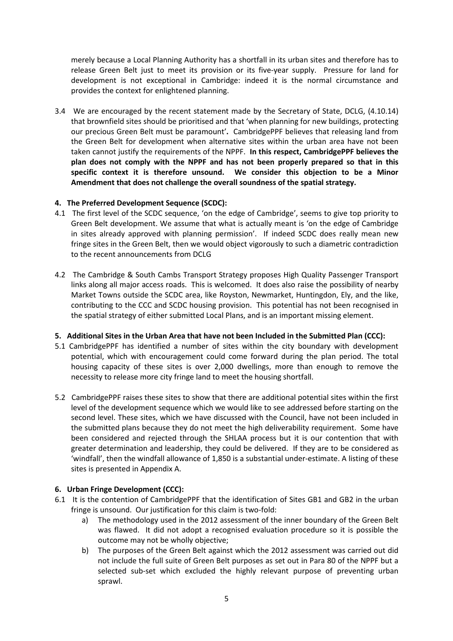merely because a Local Planning Authority has a shortfall in its urban sites and therefore has to release Green Belt just to meet its provision or its five-year supply. Pressure for land for development is not exceptional in Cambridge: indeed it is the normal circumstance and provides the context for enlightened planning.

3.4 We are encouraged by the recent statement made by the Secretary of State, DCLG, (4.10.14) that brownfield sites should be prioritised and that 'when planning for new buildings, protecting our precious Green Belt must be paramount'**.** CambridgePPF believes that releasing land from the Green Belt for development when alternative sites within the urban area have not been taken cannot justify the requirements of the NPPF. **In this respect, CambridgePPF believes the plan does not comply with the NPPF and has not been properly prepared so that in this specific context it is therefore unsound. We consider this objection to be a Minor Amendment that does not challenge the overall soundness of the spatial strategy.** 

# **4. The Preferred Development Sequence (SCDC):**

- 4.1 The first level of the SCDC sequence, 'on the edge of Cambridge', seems to give top priority to Green Belt development. We assume that what is actually meant is 'on the edge of Cambridge in sites already approved with planning permission'. If indeed SCDC does really mean new fringe sites in the Green Belt, then we would object vigorously to such a diametric contradiction to the recent announcements from DCLG
- 4.2 The Cambridge & South Cambs Transport Strategy proposes High Quality Passenger Transport links along all major access roads. This is welcomed. It does also raise the possibility of nearby Market Towns outside the SCDC area, like Royston, Newmarket, Huntingdon, Ely, and the like, contributing to the CCC and SCDC housing provision. This potential has not been recognised in the spatial strategy of either submitted Local Plans, and is an important missing element.

### **5. Additional Sites in the Urban Area that have not been Included in the Submitted Plan (CCC):**

- 5.1 CambridgePPF has identified a number of sites within the city boundary with development potential, which with encouragement could come forward during the plan period. The total housing capacity of these sites is over 2,000 dwellings, more than enough to remove the necessity to release more city fringe land to meet the housing shortfall.
- 5.2 CambridgePPF raises these sites to show that there are additional potential sites within the first level of the development sequence which we would like to see addressed before starting on the second level. These sites, which we have discussed with the Council, have not been included in the submitted plans because they do not meet the high deliverability requirement. Some have been considered and rejected through the SHLAA process but it is our contention that with greater determination and leadership, they could be delivered. If they are to be considered as 'windfall', then the windfall allowance of 1,850 is a substantial under-estimate. A listing of these sites is presented in Appendix A.

# **6. Urban Fringe Development (CCC):**

- 6.1 It is the contention of CambridgePPF that the identification of Sites GB1 and GB2 in the urban fringe is unsound. Our justification for this claim is two-fold:
	- a) The methodology used in the 2012 assessment of the inner boundary of the Green Belt was flawed. It did not adopt a recognised evaluation procedure so it is possible the outcome may not be wholly objective;
	- b) The purposes of the Green Belt against which the 2012 assessment was carried out did not include the full suite of Green Belt purposes as set out in Para 80 of the NPPF but a selected sub-set which excluded the highly relevant purpose of preventing urban sprawl.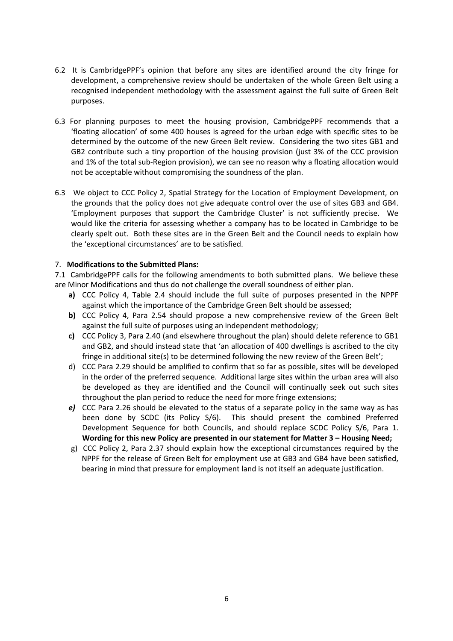- 6.2 It is CambridgePPF's opinion that before any sites are identified around the city fringe for development, a comprehensive review should be undertaken of the whole Green Belt using a recognised independent methodology with the assessment against the full suite of Green Belt purposes.
- 6.3 For planning purposes to meet the housing provision, CambridgePPF recommends that a 'floating allocation' of some 400 houses is agreed for the urban edge with specific sites to be determined by the outcome of the new Green Belt review. Considering the two sites GB1 and GB2 contribute such a tiny proportion of the housing provision (just 3% of the CCC provision and 1% of the total sub-Region provision), we can see no reason why a floating allocation would not be acceptable without compromising the soundness of the plan.
- 6.3 We object to CCC Policy 2, Spatial Strategy for the Location of Employment Development, on the grounds that the policy does not give adequate control over the use of sites GB3 and GB4. 'Employment purposes that support the Cambridge Cluster' is not sufficiently precise. We would like the criteria for assessing whether a company has to be located in Cambridge to be clearly spelt out. Both these sites are in the Green Belt and the Council needs to explain how the 'exceptional circumstances' are to be satisfied.

# 7. **Modifications to the Submitted Plans:**

7.1 CambridgePPF calls for the following amendments to both submitted plans. We believe these are Minor Modifications and thus do not challenge the overall soundness of either plan.

- **a)** CCC Policy 4, Table 2.4 should include the full suite of purposes presented in the NPPF against which the importance of the Cambridge Green Belt should be assessed;
- **b)** CCC Policy 4, Para 2.54 should propose a new comprehensive review of the Green Belt against the full suite of purposes using an independent methodology;
- **c)** CCC Policy 3, Para 2.40 (and elsewhere throughout the plan) should delete reference to GB1 and GB2, and should instead state that 'an allocation of 400 dwellings is ascribed to the city fringe in additional site(s) to be determined following the new review of the Green Belt';
- d) CCC Para 2.29 should be amplified to confirm that so far as possible, sites will be developed in the order of the preferred sequence. Additional large sites within the urban area will also be developed as they are identified and the Council will continually seek out such sites throughout the plan period to reduce the need for more fringe extensions;
- *e)* CCC Para 2.26 should be elevated to the status of a separate policy in the same way as has been done by SCDC (its Policy S/6). This should present the combined Preferred Development Sequence for both Councils, and should replace SCDC Policy S/6, Para 1. **Wording for this new Policy are presented in our statement for Matter 3 – Housing Need;**
- g) CCC Policy 2, Para 2.37 should explain how the exceptional circumstances required by the NPPF for the release of Green Belt for employment use at GB3 and GB4 have been satisfied, bearing in mind that pressure for employment land is not itself an adequate justification.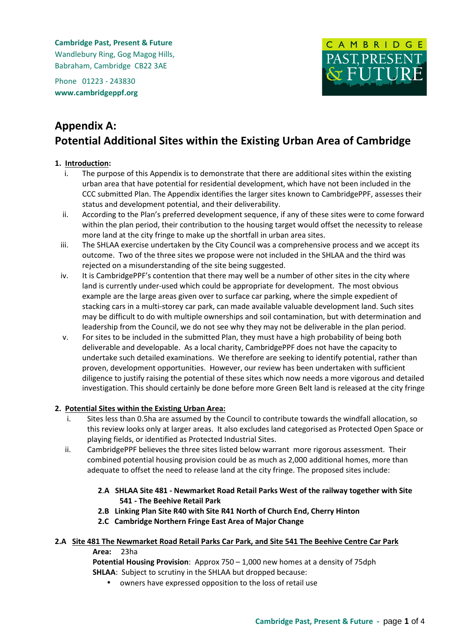**Cambridge Past, Present & Future** Wandlebury Ring, Gog Magog Hills, Babraham, Cambridge CB22 3AE

Phone 01223 - 243830 **www.cambridgeppf.org**



# **Appendix A: Potential Additional Sites within the Existing Urban Area of Cambridge**

# **1. Introduction:**

- i. The purpose of this Appendix is to demonstrate that there are additional sites within the existing urban area that have potential for residential development, which have not been included in the CCC submitted Plan. The Appendix identifies the larger sites known to CambridgePPF, assesses their status and development potential, and their deliverability.
- ii. According to the Plan's preferred development sequence, if any of these sites were to come forward within the plan period, their contribution to the housing target would offset the necessity to release more land at the city fringe to make up the shortfall in urban area sites.
- iii. The SHLAA exercise undertaken by the City Council was a comprehensive process and we accept its outcome. Two of the three sites we propose were not included in the SHLAA and the third was rejected on a misunderstanding of the site being suggested.
- iv. It is CambridgePPF's contention that there may well be a number of other sites in the city where land is currently under-used which could be appropriate for development. The most obvious example are the large areas given over to surface car parking, where the simple expedient of stacking cars in a multi-storey car park, can made available valuable development land. Such sites may be difficult to do with multiple ownerships and soil contamination, but with determination and leadership from the Council, we do not see why they may not be deliverable in the plan period.
- v. For sites to be included in the submitted Plan, they must have a high probability of being both deliverable and developable. As a local charity, CambridgePPF does not have the capacity to undertake such detailed examinations. We therefore are seeking to identify potential, rather than proven, development opportunities. However, our review has been undertaken with sufficient diligence to justify raising the potential of these sites which now needs a more vigorous and detailed investigation. This should certainly be done before more Green Belt land is released at the city fringe

### **2. Potential Sites within the Existing Urban Area:**

- i. Sites less than 0.5ha are assumed by the Council to contribute towards the windfall allocation, so this review looks only at larger areas. It also excludes land categorised as Protected Open Space or playing fields, or identified as Protected Industrial Sites.
- ii. CambridgePPF believes the three sites listed below warrant more rigorous assessment. Their combined potential housing provision could be as much as 2,000 additional homes, more than adequate to offset the need to release land at the city fringe. The proposed sites include:
	- **2**.**A SHLAA Site 481 Newmarket Road Retail Parks West of the railway together with Site 541 - The Beehive Retail Park**
	- **2.B Linking Plan Site R40 with Site R41 North of Church End, Cherry Hinton**
	- **2.C Cambridge Northern Fringe East Area of Major Change**

#### **2.A Site 481 The Newmarket Road Retail Parks Car Park, and Site 541 The Beehive Centre Car Park Area:** 23ha

**Potential Housing Provision**: Approx 750 – 1,000 new homes at a density of 75dph **SHLAA:** Subject to scrutiny in the SHLAA but dropped because:

• owners have expressed opposition to the loss of retail use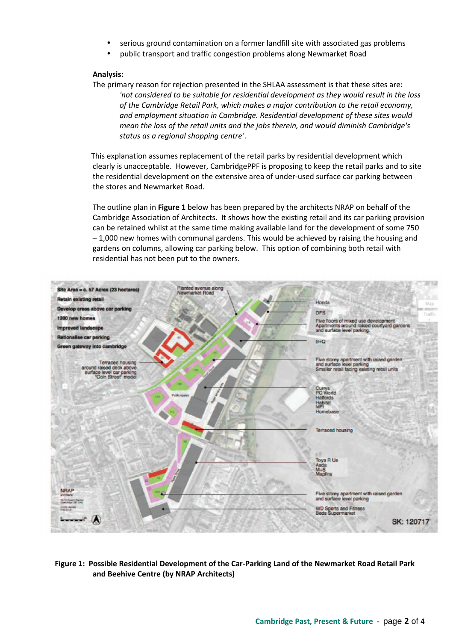- serious ground contamination on a former landfill site with associated gas problems
- public transport and traffic congestion problems along Newmarket Road

#### **Analysis:**

The primary reason for rejection presented in the SHLAA assessment is that these sites are: *'not considered to be suitable for residential development as they would result in the loss of the Cambridge Retail Park, which makes a major contribution to the retail economy, and employment situation in Cambridge. Residential development of these sites would mean the loss of the retail units and the jobs therein, and would diminish Cambridge's status as a regional shopping centre'*.

 This explanation assumes replacement of the retail parks by residential development which clearly is unacceptable. However, CambridgePPF is proposing to keep the retail parks and to site the residential development on the extensive area of under-used surface car parking between the stores and Newmarket Road.

The outline plan in **Figure 1** below has been prepared by the architects NRAP on behalf of the Cambridge Association of Architects. It shows how the existing retail and its car parking provision can be retained whilst at the same time making available land for the development of some 750 – 1,000 new homes with communal gardens. This would be achieved by raising the housing and gardens on columns, allowing car parking below. This option of combining both retail with residential has not been put to the owners.



**Figure 1: Possible Residential Development of the Car-Parking Land of the Newmarket Road Retail Park and Beehive Centre (by NRAP Architects)**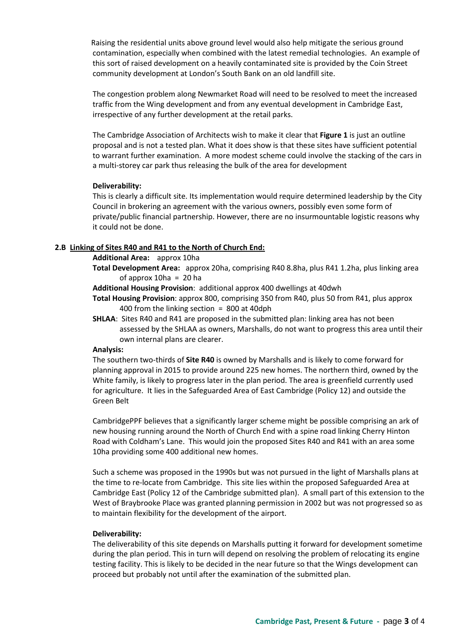Raising the residential units above ground level would also help mitigate the serious ground contamination, especially when combined with the latest remedial technologies. An example of this sort of raised development on a heavily contaminated site is provided by the Coin Street community development at London's South Bank on an old landfill site.

The congestion problem along Newmarket Road will need to be resolved to meet the increased traffic from the Wing development and from any eventual development in Cambridge East, irrespective of any further development at the retail parks.

The Cambridge Association of Architects wish to make it clear that **Figure 1** is just an outline proposal and is not a tested plan. What it does show is that these sites have sufficient potential to warrant further examination. A more modest scheme could involve the stacking of the cars in a multi-storey car park thus releasing the bulk of the area for development

#### **Deliverability:**

This is clearly a difficult site. Its implementation would require determined leadership by the City Council in brokering an agreement with the various owners, possibly even some form of private/public financial partnership. However, there are no insurmountable logistic reasons why it could not be done.

### **2.B Linking of Sites R40 and R41 to the North of Church End:**

#### **Additional Area:** approx 10ha

**Total Development Area:** approx 20ha, comprising R40 8.8ha, plus R41 1.2ha, plus linking area of approx  $10ha = 20 ha$ 

**Additional Housing Provision**: additional approx 400 dwellings at 40dwh

- **Total Housing Provision**: approx 800, comprising 350 from R40, plus 50 from R41, plus approx 400 from the linking section = 800 at 40dph
- **SHLAA**: Sites R40 and R41 are proposed in the submitted plan: linking area has not been assessed by the SHLAA as owners, Marshalls, do not want to progress this area until their own internal plans are clearer.

### **Analysis:**

The southern two-thirds of **Site R40** is owned by Marshalls and is likely to come forward for planning approval in 2015 to provide around 225 new homes. The northern third, owned by the White family, is likely to progress later in the plan period. The area is greenfield currently used for agriculture. It lies in the Safeguarded Area of East Cambridge (Policy 12) and outside the Green Belt

CambridgePPF believes that a significantly larger scheme might be possible comprising an ark of new housing running around the North of Church End with a spine road linking Cherry Hinton Road with Coldham's Lane. This would join the proposed Sites R40 and R41 with an area some 10ha providing some 400 additional new homes.

Such a scheme was proposed in the 1990s but was not pursued in the light of Marshalls plans at the time to re-locate from Cambridge. This site lies within the proposed Safeguarded Area at Cambridge East (Policy 12 of the Cambridge submitted plan). A small part of this extension to the West of Braybrooke Place was granted planning permission in 2002 but was not progressed so as to maintain flexibility for the development of the airport.

#### **Deliverability:**

The deliverability of this site depends on Marshalls putting it forward for development sometime during the plan period. This in turn will depend on resolving the problem of relocating its engine testing facility. This is likely to be decided in the near future so that the Wings development can proceed but probably not until after the examination of the submitted plan.